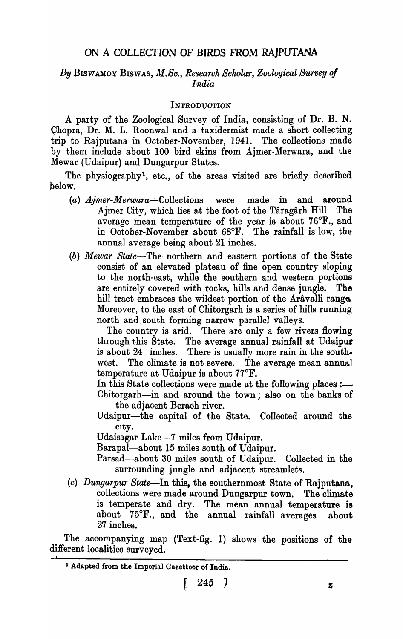# ON A COLLECTION OF BIRDS FROM RAJPUTANA

# *By* BISWAMOY BISWAS, *M.So., Research Scholar, Zoological Survey of India*

### **INTRODUCTION**

A party of the Zoological Survey of India, consisting of Dr. B. N. Qhopra, Dr. M. L. Roonwal and a taxidermist made a short collecting trip to Rajputana in October-November, 1941. The collections made by them include about 100 bird skins from Ajmer-Merwara, and the Mewar (Udaipur) and Dungarpur States.

The physiography<sup>1</sup>, etc., of the areas visited are briefly described below.

- *(a) Aimer-Merwara-'* Collections were made in and around Ajmer City, which lies at the foot of the Târagârh Hill. The average mean temperature of the year is about 76°F., and in October-November about 68°F. The rainfall is low, the annual average being about 21 inches.
- (b) *Mewar State-The·* northern and eastern portions of the State consist of an elevated plateau of fine open country sloping to the north-east, while the southern and western portions are entirely covered with rocks, hills and dense jungle. The hill tract embraces the wildest portion of the Arâvalli range Moreover, to the east of Chitorgarh is a series of hills running north and. south forming narrow parallel valleys.

The country is arid. There are only a few rivers flowing through this State. The average annual rainfall at Udaipur is about 24 inches. There is usually more rain in the south. west. The climate is not severe. The average mean annual temperature at Udaipur is about 77°F.

In this State collections were made at the following places:— Chitorgarh-in and around the town; also on the banks of the adjacent Berach river.

Udaipur-the capital of the State. Collected around the city.

Udaisagar Lake-7 miles from Udaipur.

Barapal-about 15 miles south of Udaipur.

- Parsad-about 30 miles south of Udaipur. Collected in the surrounding jungle and adjacent streamlets.
- *(c) Dungarpur State-In* this, the southernmost State of Rajputana, collections were made around Dungarpur town. The climate is temperate and dry. The mean annual temperature is about 75°F., and the annual rainfall averages about 27 inches.

The accompanying map (Text-fig. 1) shows the positions of the different localities surveyed.

$$
\left[\begin{array}{cc}245\end{array}\right]
$$

<sup>&</sup>lt;sup>1</sup> Adapted from the Imperial Gazetteer of India.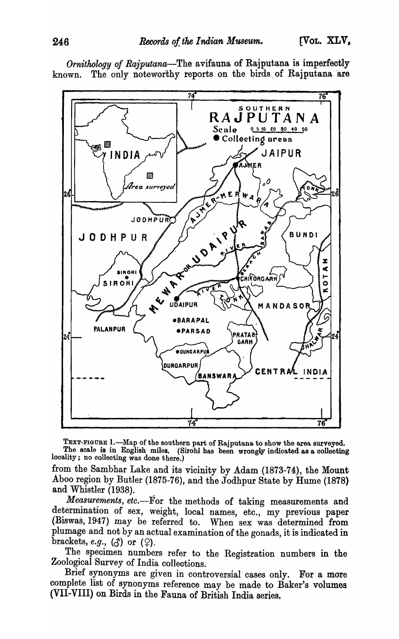$74^{2}$   $76^{2}$ SOUTHERN **RAJPUTAN A**   $0.510 20 30 40 50$  $\bullet$  Collecting areas JAJPUR INDIA AJMER Ø  $\mathcal{O}$ Area surveyed NER 2Ğ 26 w A Rep 10 A 19 UM **JODHPURY BUNDI** JODHPUR CHIFORGARH ⋖ **SIROHI ANY** SIROHI  $\bullet$ ⊻ **UDAIPUR** MANDASOR **•BARAPAL PALANPUR OPARSAD PRATAB** 24 GARH **ODUNGARPU DUNGARPUR** CENTRA INDIA **BANSWARA**  $74^{\circ}$   $76^{\circ}$ 

*Ornithology of RaJputana-The* avifauna of Rajputana is imperfectly known. The only noteworthy reports on the birds of Rajputana are

TEXT-FIGURE 1.—Map of the southern part of Rajputana to show the area surveyed. The scale is in English miles. (Sirohi has been wrongly indicated as a collecting locality; no collecting was done there.)

from the Sambhar Lake and its vicinity by Adam (1873-74), the Mount Aboo region by Butler (1875-76), and the Jodhpur State by Hume (1878) and Whistler (1938).

*Measurements, etc.-For* the methods of taking measurements and determination of sex, weight, local names, etc., my previous paper (Biswas,1947) may be referred to. When sex was determined from plumage and not by an actual examination of the gonads, it is indicated in brackets, *e.g.*,  $(\mathcal{J})$  or  $(\varphi)$ .

The specimen numbers refer to the Registration numbers in. the Zoological Survey of India collections.

Brief synonyms are given in controversial cases only. For a more complete list of synonyms reference may be made to Baker's volumes (VII-VIII) on Birds in the Fauna of British India series,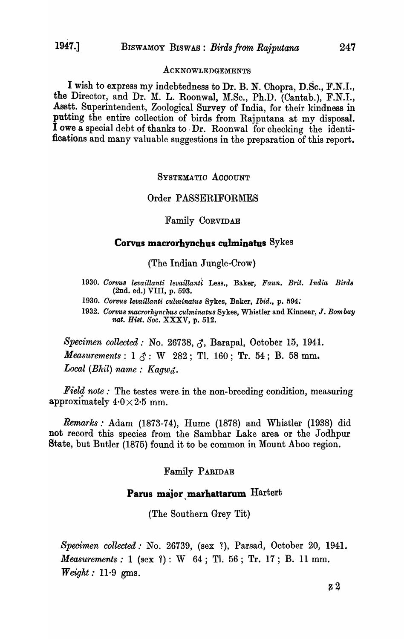#### ACKNOWLEDGEMENTS

I wish to express my indebtedness to Dr. B. N. Chopra, D.Sc., F.N.I., the Director, and Dr. M. L. Roonwal, M.Sc., Ph.D. (Cantab.), F.N.I., Asstt. Superintendent, Zoological Survey of India, for their kindness in putting the entire collection of birds from Rajputana at my disposal.  $\tilde{\textbf{I}}$  owe a special debt of thanks to Dr. Roonwal for checking the identifications and many valuable suggestions in the preparation of this report.

SYSTEMATIC ACCOUNT

# Order PASSERIFORMES

#### Family CORVIDAE

#### Corvus macrorhynchus culminatus Sykes

(The Indian Jungle-Crow)

1930. Corvus levaillanti levaillanti Less., Baker, Faun. Brit. India Birds (2nd. ed.) VIII, p. 593.

1930. Corvus levaillanti culminatus Sykes, Baker, *Ibid.*, p. 594.

1932. Corvus macrorhynchus culminatus Sykes, Whistler and Kinnear, J. Bombuy *nat. Hist. Soc.* XXXV, p. 512.

*Specimen collected:* No. 26738,  $\zeta$ , Barapal, October 15, 1941. *Measurements*: 1  $\delta$ : W 282; Tl. 160; Tr. 54; B. 58 mm. *Local (Bhil) name: Kagwd.* 

*Field note*: The testes were in the non-breeding condition, measuring approximately  $4.0 \times 2.5$  mm.

*Remarks:* Adam (1873-74), Hume (1878) and Whistler (1938) did not record this species from the Sambhar Lake area or the Jodhpur State, but Butler (1875) found it to be common in Mount Aboo region.

### Family PARIDAE

# Parus major marhattarum Hartert

(The Southern Grey Tit)

*Specimen collected:* No. 26739, (sex ?), Parsad, October 20, 1941. *Measurements*: 1 (sex ?): W 64; Tl. 56; Tr. 17; B. 11 mm. *Weight:* 11·9 gms.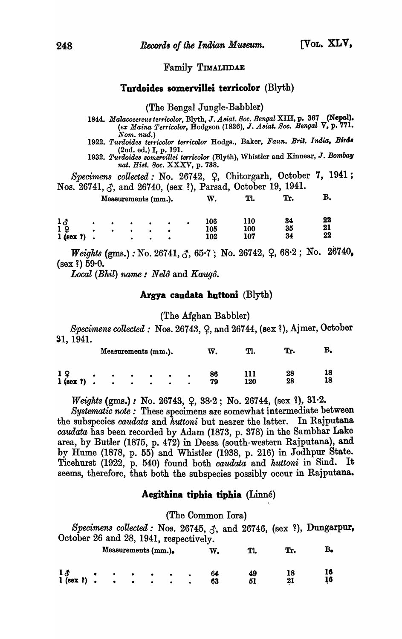#### Family TmALIIDAE

### Turdoides somervillei terricolor  $(Blyth)$

(The Bengal Jungle-Babbler)

- 1844. Malacocercus terricolor, Blyth, J. Asiat. Soc. Bengal XIII, p. 367 (Nepal). (ex *Maina Terricolor,* Hodgson (1836), J. *A.,iae. Soc. Bengal* V, p. 771. *Nom. nud.)*
- *1922. Turdoide8 terricolor terricokw* Hodgs., Baker, *Faun. Bri,. India, Blrtl,*  (2nd. ed.) I, p. 191.
- 1932. Turdoides somervillei terricolor (Blyth), Whistler and Kinnear, J. Bombay *nat. Hist. Soc.* XXXV, p. 738.

Specimens collected: No. 26742,  $\varphi$ , Chitorgarh, October 7, 1941; Nos. 26741,  $\zeta$ , and 26740, (sex ?), Parsad, October 19, 1941.

|             | Measurements (mm.). |           |           |        |   |   | W.         | Tl.        | Tr.      |          |
|-------------|---------------------|-----------|-----------|--------|---|---|------------|------------|----------|----------|
| 1 კ         | ٠                   | ٠         | ٠         |        | ٠ | ٠ | 106        | 110        | 34       | 22       |
| $1$ (sex ?) | ٠                   | $\bullet$ | $\bullet$ | ٠<br>٠ |   |   | 105<br>102 | 100<br>107 | 35<br>34 | 21<br>22 |

*Weights* (gms.) : No. 26741,  $\zeta$ , 65.7; No. 26742,  $\zeta$ , 68.2; No. 26740,  $(sex ?) 59.0.$ 

*Local (Bhil) name: Nelô and Kaugô.* 

### Argya caudata huttoni  $(Blyth)$

### (The Afghan Babbler)

*Specimens collected:* Nos. 26743,  $\varphi$ , and 26744, (sex ?), Ajmer, October 31, 1941.

|                                | Measurements (mm.). |                        |                        |                |                |   | W.       | TI.        |          | в. |
|--------------------------------|---------------------|------------------------|------------------------|----------------|----------------|---|----------|------------|----------|----|
| 1 <sub>2</sub><br>$1$ (sex ?). | $\bullet$           | $\bullet$<br>$\bullet$ | $\bullet$<br>$\bullet$ | $\bullet$<br>٠ | ٠<br>$\bullet$ | ٠ | 86<br>79 | 111<br>120 | 28<br>28 | 18 |

*Weights* (gms.): No. 26743, Q, 38.2; No. 26744, (sex ?), 31.2.

*Systematic note:* These specimens are somewhat intermediate between the subspecies *caudata* and *huttoni* but nearer the latter. In Rajputana *caudata* has been recorded by Adam (1873, p. 378) in the Sambhar Lake area, by Butler (1875, p. 472) in Deesa (south-western Rajputana), and by Hume (1878, p. 55) and Whistler (1938, p. 216) in Jodhpur State. Ticehurst (1922, p. 540) found both *caudata* and *huttoni* in Sind. It seems, therefore, that both the subspecies possibly occur in Rajputana.

### Aegithina tiphia tiphia (Linné)

(The Common lora)

*Specimens collected:* Nos. 26745,  $\zeta$ , and 26746, (sex ?), Dungarpur, October 26 and 28, 1941, respectively.

|                                                          |                     | Measurements (mm.).           |                        |                | w.       | TI.      | Tr. |  |
|----------------------------------------------------------|---------------------|-------------------------------|------------------------|----------------|----------|----------|-----|--|
| $\begin{array}{c} 13 \\ 1 \text{ (sec 2)} \end{array}$ . | $\bullet$ $\bullet$ | $\bullet$ $\bullet$ $\bullet$ | $\bullet$<br>$\bullet$ | ٠<br>$\bullet$ | 64<br>63 | 49<br>51 | 21  |  |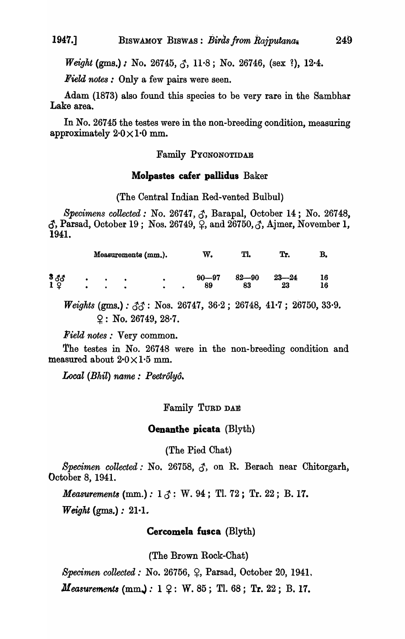*Weight* (gms.); No. 26745,  $\zeta$ , 11.8; No. 26746, (sex ?), 12.4.

*Field notes:* Only a few pairs were seen.

Adam (1873) also found this species to be very rare in the Sambhar Lake area.

In No. 26745 the testes were in the non-breeding condition, measuring approximately  $2.0 \times 1.0$  mm.

# Family PYONONOTIDAE

### Molpastes eafer pallidus Baker

(The Central Indian Red-vented Bulbul)

*Specimens collected:* No. 26747,  $\zeta$ , Barapal, October 14; No. 26748,  $\mathcal{J}$ , Parsad, October 19; Nos. 26749,  $\varphi$ , and 26750,  $\mathcal{J}$ , Ajmer, November 1, 1941.

|               |  | Measurements (mm.). |  | w.              | Tl.             | Tr.             |  |
|---------------|--|---------------------|--|-----------------|-----------------|-----------------|--|
| ಕಿ ಕೃಕ<br>1 ೦ |  |                     |  | $90 - 97$<br>89 | $82 - 90$<br>83 | $23 - 24$<br>23 |  |

 $\textit{Weights (gms.)}: \mathcal{J}\mathcal{J}: \text{Nos. } 26747, 36.2; 26748, 41.7; 26750, 33.9.$  $9:$  No. 26749, 28.7.

*Field notes* : Very common.

The testes in No. 26748 were in the non-breeding condition and measured about  $2.0 \times 1.5$  mm.

*Local (Bkil) name: Peetrolyo.* 

Family TURD DAN

# Oenanthe pieata (Blyth)

(The Pied Chat)

 $Specimen$  *collected* : No. 26758,  $\zeta$ , on R. Berach near Chitorgarh, October 8, 1941.

*Measurements* (mm.):  $1 \le \cdot W$ . 94; Tl. 72; Tr. 22; B. 17.

*Weight* (gms.): 21.1.

# Cercomela fusea (Blyth)

(The Brown Rock-Chat)

*Specimen collected:* No. 26756,  $\varphi$ , Parsad, October 20, 1941,

*Measurements*  $\text{(mm)}: 1 \text{ } 2: \text{ } W. 85$ ; Tl. 68; Tr. 22; B. 17.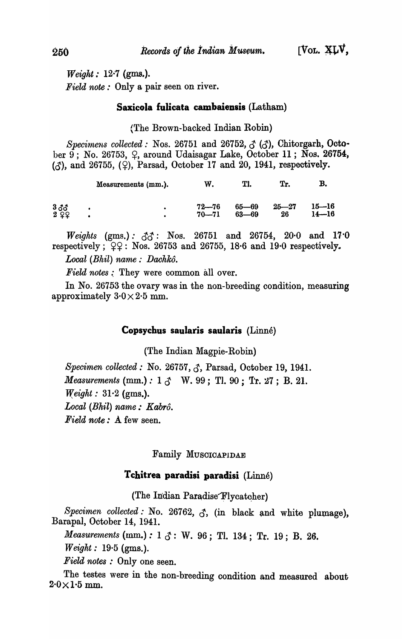*Weight:* 12.7 (gms.). *Field note:* Only a pair seen on river.

# **Saxicola fulicata cambaiensis** (Latham)

{The Brown-backed Indian Robin)

*Specimens collected:* Nos. 26751 and 26752,  $\zeta$  ( $\zeta$ ), Chitorgarh, October 9; No. 26753,  $\zeta$ , around Udaisagar Lake, October 11; Nos. 26754,  $(\delta)$ , and 26755, (9), Parsad, October 17 and 20, 1941, respectively.

|             | Measurements (mm.). | W.                     | Tl.                    | Tr.             |                |
|-------------|---------------------|------------------------|------------------------|-----------------|----------------|
| 3 ඊඊ<br>299 | $\bullet$           | $72 - 76$<br>$70 - 71$ | $65 - 69$<br>$63 - 69$ | $25 - 27$<br>26 | 15—16<br>14—16 |

*Weights* (gms.):  $\zeta \zeta$ : Nos. 26751 and 26754, 20.0 and 17.0 respectively;  $\varphi$ ?: Nos. 26753 and 26755, 18 $\cdot$ 6 and 19 $\cdot$ 0 respectively. *Local (Bhil) name.' Dachko.* 

*Field notes.:* They were common all over.

In No. 26753 the ovary was in the non-breeding condition, measuring approximately  $3.0 \times 2.5$  mm.

### **Copsychus saularis saularis** (Linne)

(The Indian Magpie-Robin)

*Specimen collected:* No. 26757,  $\zeta$ , Parsad, October 19, 1941. *Measurements*  $(mm.): 1 \, \delta$  W. 99; Tl. 90; Tr. 27; B. 21.  $Weight: 31.2 \text{ (gms.)}$ . *Local (Bhil) name.' Kabro. Field note:* A few seen.

Family MUSOIOAPIDAE

# **Tcbitrea paradisi paradisi** (Linne)

(The Indian Paradise~Flycatcher)

 $Specimen$  *collected*: No. 26762,  $\zeta$ , (in black and white plumage), Barapal, October 14, 1941.

*Measurements* (mm.):  $1 \leq i$ : W. 96; Tl. 134; Tr. 19; B. 26.

*Weight.'* 19·5 (gms.).

*Field notes* : Only one seen.

The testes were in the non-breeding condition and measured about  $2.0 \times 1.5$  mm.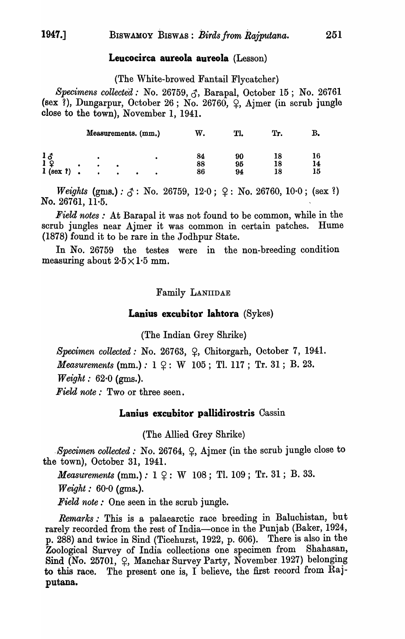# Leucocirca aureola aureola (Lesson)

### (The White-browed Fantail Flycatcher)

Specimens collected: No. 26759, 3, Barapal, October 15; No. 26761 (sex ?), Dungarpur, October 26; No. 26760,  $\varphi$ , Ajmer (in scrub jungle close to the town), November 1, 1941.

|                             |                |        | Measurements. (mm.) |        | w.             | Tl.            | Tr.      | в.       |
|-----------------------------|----------------|--------|---------------------|--------|----------------|----------------|----------|----------|
| 1 კ<br>?)<br>$\bf{l}$ (sex) | ٠<br>$\bullet$ | ٠<br>٠ | ٠                   | ٠<br>٠ | 84<br>88<br>86 | 90<br>95<br>94 | 18<br>18 | 14<br>15 |

*Weights* (gms.):  $\mathcal{S}$ : No. 26759, 12.0;  $\varphi$ : No. 26760, 10.0; (sex ?) No. 26761, 11·5.

*Field notes:* At Barapal it was not found to be common, while in the scrub jungles near Ajmer it was common in certain patches. Hume (1878) found it to be rare in the Jodhpur State.

In No. 26759 the testes were in the non-breeding condition measuring about  $2.5 \times 1.5$  mm.

### Family LANIIDAE

### Lanius excubitor lahtora (Sykes)

(The Indian Grey Shrike)

*Specimen collected:* No. 26763,  $\varphi$ , Chitorgarh, October 7, 1941. *Measurements* (mm.): 1  $\varphi$ : W 105; Tl. 117; Tr. 31; B. 23. *Weight:* 62·0 (gms.).

*Field note:* Two or three seen.

# Lanius excubitor pallidirostris Cassin

(The Allied Grey Shrike)

*Specimen collected:* No. 26764,  $\varphi$ , Ajmer (in the scrub jungle close to the town), October 31, 1941.

*Measurements*  $(mm.): 1 \nsubseteq : W$  108; Tl. 109; Tr. 31; B. 33.

*Weight:* 60·0 (gms.).

*Field note:* One seen in the scrub jungle.

*Remarks:* This is a palaearctic race breeding in Baluchistan, but rarely recorded from the rest of India-once in the Punjab (Baker, 1924, p. 288) and twice in Sind (Ticehurst, 1922, p. 606). There is also in the Zoological Survey of India collections one specimen from Shahasan, Sind (No. 25701,  $\varphi$ , Manchar Survey Party, November 1927) belonging to this race. The present one is, I believe, the first record from Rajputana.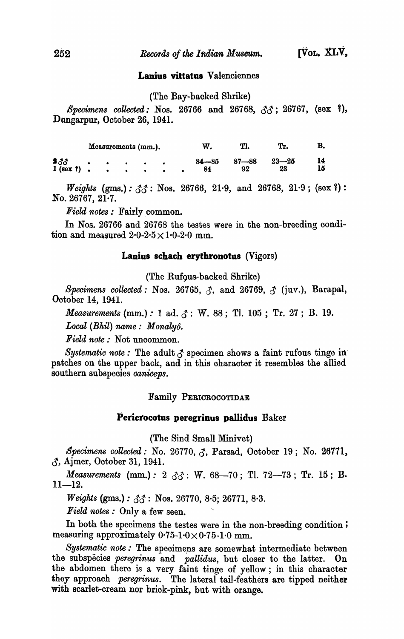### Lanius vittatus Valenciennes

(The Bay-backed Shrike)

 $Specimens$  collected: Nos. 26766 and 26768,  $\zeta \zeta$ ; 26767, (sex ?), Dnngarpur, October 26, 1941.

| Measurements (mm.). |  |  |  |  |  | W.          | TI.             | Tr.             |          |
|---------------------|--|--|--|--|--|-------------|-----------------|-----------------|----------|
|                     |  |  |  |  |  | 84—85<br>84 | $87 - 88$<br>92 | $23 - 25$<br>23 | 14<br>15 |

*Weights* (gms.):  $33$ : Nos. 26766, 21.9, and 26768, 21.9; (sex ?): No. 26767, 21·7.

*Field notes:* Fairly common.

In Nos. 26766 and 26768 the testes were in the non-breeding condition and measured  $2.0 - 2.5 \times 1.0 - 2.0$  mm.

### Lanius schach erythronotus *(Vigors)*

(The Rufous-backed Shrike)

*Specimens collected* : Nos. 26765,  $\beta$ , and 26769,  $\beta$  (juv.), Barapal, Ootober 14, 1941.

*Measurements* (mm.): 1 ad.  $\zeta$ : W. 88; Tl. 105; Tr. 27; B. 19.

*Local (Bhil) name: Monalyo.* 

*Field note:* Not unoommon.

*Systematic note:* The adult  $\delta$  specimen shows a faint rufous tinge in patches on the upper back, and in this character it resembles the allied southern subspecies *caniceps.* 

# Family PERIOROOOTIDAE

#### **Pericrocotus peregrinus pallidus** Baker

(The Sind Small Minivet)

 $~Specimens~collected: No.~26770,~\mathcal{J},~Parsad,~October~19~;~No.~26771,~$  $\beta$ , Ajmer, October 31, 1941.

*Measurements* (mm.):  $2 \, \zeta \zeta$ : W. 68--70; Tl. 72--73; Tr. 15; B.  $11 - 12.$ 

*Weights* (gms.):  $33$ : Nos. 26770, 8.5; 26771, 8.3.

*Field notes:* Only a few seen.

In both the specimens the testes were in the non-breeding condition; measuring approximately  $0.75-1.0\times0.75-1.0$  mm.

Systematic note: The specimens are somewhat intermediate between the subspecies *peregrinus* and *pallidus,* but closer to the latter. On the abdomen there is a very faint tinge of yellow; in this character they approach *peregrinus.* The lateral tail-feathers are tipped neither with scarlet-cream nor brick-pink, but with orange.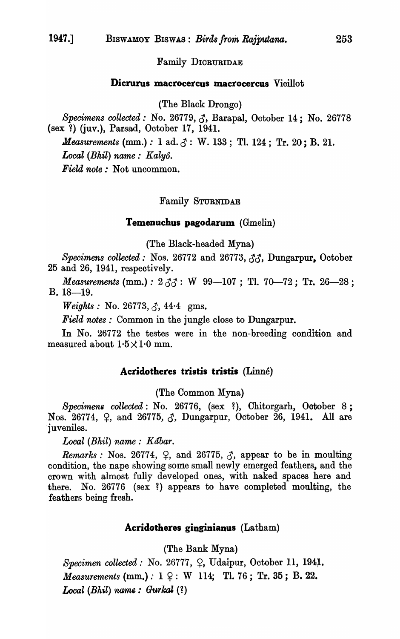# Family DIORURIDAE

#### Dicrurus macrocercus macrocercus Vieillot

(The Black Drongo)

*Specimens collected:* No. 26779,  $\zeta$ , Barapal, October 14; No. 26778 (sex 1) (juv.), Parsad, October 17, 1941.

*Measurements* (mm.): 1 ad.  $3:$  W. 133; Tl. 124; Tr. 20; B. 21.

*Local (Bhil) name: Kalyo.* 

*Field note:* Not uncommon.

### Family STURNIDAE

# Temenuchus pagodarum (Gmelin)

(The Black-headed Myna)

Specimens collected: Nos. 26772 and 26773, 33, Dungarpur, October 25 and 26, 1941, respectively.

*Measurements* (mm.):  $2 \sqrt[3]{3}$ : W 99-107; Tl. 70-72; Tr. 26-28; B. 18-19.

 $Weights: No. 26773, \mathcal{J}, 44.4 \text{ gms.}$ 

*Field notes:* Common in the jungle close to Dungarpur.

In No. 26772 the testes were in the non-breeding condition and measured about  $1.5 \times 1.0$  mm.

# Acridotheres tristis tristis (Linne)

(The Common Myna)

*Specimens collected:* No. 26776, (sex ?), Chitorgarh, October 8; Nos. 26774,  $\varphi$ , and 26775,  $\varphi$ , Dungarpur, October 26, 1941. All are 'juveniles.

*Local (Bhil) name: Kabar.* 

*Remarks:* Nos. 26774,  $\varphi$ , and 26775,  $\varphi$ , appear to be in moulting condition, the nape showing some small newly emerged feathers, and the crown with almost fully developed ones, with naked spaces here and there. No. 26776 (sex ?) appears to have completed moulting, the feathers being fresh.

# Acridotheres ginginianus (Latham)

(The Bank Myna)

 $Specimen$  *collected*: No. 26777,  $\varphi$ , Udaipur, October 11, 1941. *Measurements* (mm.)  $: 1 \, 2: W$  114; Tl. 76; Tr. 35; B. 22. *Local (Bhil) name: Gurka! (1)*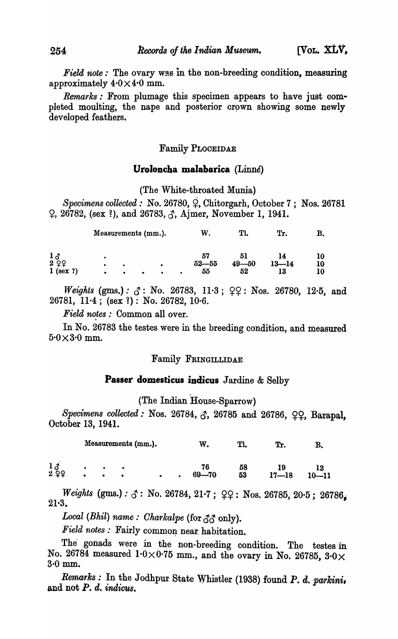*Field note:* The ovary was in the non-breeding condition, measuring approximately  $4.0 \times 4.0$  mm.

*Remarks:* From plumage this speoimen appears to have just oompleted moulting, the nape and posterior crown showing some newly developed feathers.

### Family PLOOEIDAE

# Uroloncha malabarica *(Linné)*

(The White-throated Munia)

*Specimens collected:* No. 26780,  $\varphi$ , Chitorgarh, October 7; Nos. 26781  $9, 26782$ , (sex ?), and 26783,  $3, \overline{3}$ , Ajmer, November 1, 1941.

|                                 | Measurements (mm.).         |   |   |        |           | W.              | Tl.             | Тr.                   | В.             |
|---------------------------------|-----------------------------|---|---|--------|-----------|-----------------|-----------------|-----------------------|----------------|
| $1\delta$<br>299<br>$1$ (sex ?) | $\bullet$<br>٠<br>$\bullet$ | ٠ | ٠ | ٠<br>٠ | $\bullet$ | $52 - 55$<br>55 | $49 - 50$<br>52 | 14<br>$13 - 14$<br>13 | 10<br>10<br>10 |

 $Weights$  (gms.):  $\zeta$ : No. 26783, 11.3;  $\zeta$ : Nos. 26780, 12.5, and 26781, 11·4; (sex 1) : No. 26782, 10·6.

*Field notes:* Common all over.

In No. 26783 the testes were in the breeding condition, and measured 5·0X3·0 mm.

### Family FRINGILLIDAE

# **Passer domesticus indicus** Jardine & Selby

(The Indian House-Sparrow)

Specimens collected: Nos. 26784, 3, 26785 and 26786, <sub>99</sub>, Barapal, Ootober 13, 1941.

|                                                           |                        | Measurements (mm.). |           | w.              | Tl.      | Tr.       |           |
|-----------------------------------------------------------|------------------------|---------------------|-----------|-----------------|----------|-----------|-----------|
| $1\delta$<br>$\overline{2}$ $\overline{2}$ $\overline{2}$ | $\bullet$<br>$\bullet$ | $\bullet$<br>٠      | $\bullet$ | 76<br>$69 - 70$ | 58<br>53 | $17 - 18$ | $10 - 11$ |

*Weights* (gms.):  $\mathcal{S}:$  No. 26784, 21.7;  $22:$  Nos. 26785, 20.5; 26786, 21·3.

Local (Bhil) name: Charkalpe (for  $\partial \mathcal{L}$  only).

Field notes: Fairly common near habitation.

The gonads were in the non-breeding condition. The testes in No. 26784 measured  $1.0\times0.75$  mm., and the ovary in No. 26785,  $3.0\times$ 3·0 mm.

*Remarks:* In the Jodhpur State Whistler (1938) found *P.* d. *parkini,*  and not P. *a. indicus.*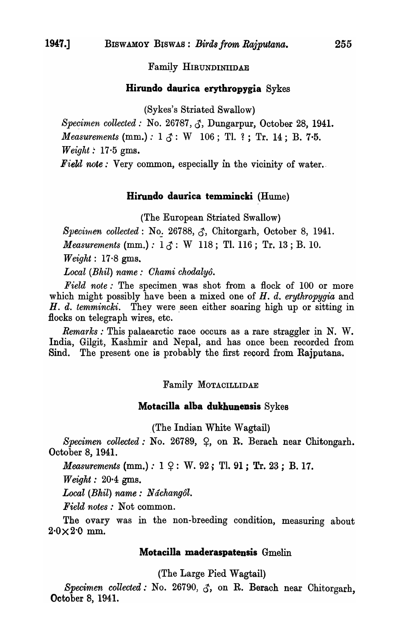FamiJy HIRUNDINIIDAE

# Hirundo daurica erythropygia Sykes

(Sykes's Striated Swallow)

Specimen collected: No. 26787,  $\zeta$ , Dungarpur, October 28, 1941. *Measurements* (mm.):  $1 \text{ } \mathcal{S}$ : W 106; Tl. ?; Tr. 14; B. 7.5. *Weight:* 17·5 gms.

*Field note:* Very common, especially in the vicinity of water.

# Hirundo daurica temmincki (Hume)

(The European Striated Swallow)

*Specimen collected:* No. 26788,  $\zeta$ , Chitorgarh, October 8, 1941. *Measurements* (mm.):  $1 \zeta$ : W 118; Tl. 116; Tr. 13; B. 10. *Weight:* 17·8 gms.

*Local (Bhil) name: Ohami chodalyo.* 

*Field note:* The specimen was shot from a flock of 100 or more which might possibly have been a mixed one of *H. d. erythropygia* and H. *d. temmincki*. They were seen either soaring high up or sitting in Hocks on telegraph wires, etc.

*Remarks* : This palaearctic race occurs as a rare straggler in N. W. India, Gilgit, Kashmir and Nepal, and has once been recorded from Sind. The present one is probably the first record from Rajputana.

# Family MOTACILLIDAE

# Motacilla alba dukhunensis Sykes

,(The Indian White Wagtail)

Specimen collected: No. 26789,  $\varphi$ , on R. Berach near Chitongarh. October 8, 1941.

*Measurements*  $(mm.) : 1 \nsubseteq : W. 92 ; Tl. 91 ; Tr. 23 ; B. 17.$ 

 $Weight: 20.4 \text{ gms.}$ 

*Local (Bhil) name: Nachangol.* 

*Field notes:* Not common.

The ovary was in the non-breeding condition, measuring about  $2.0\times2.0$  mm.

### Motacilla maderaspatensis Gmelin

(The Large Pied Wagtail)

Specimen collected: No. 26790,  $\zeta$ , on R. Berach near Chitorgarh, October 8, 1941.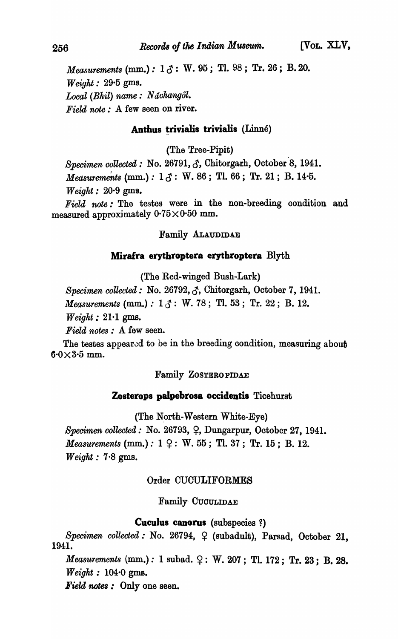*Measurements* (mm.):  $1 \delta$ : W. 95; Tl. 98; Tr. 26; B. 20. *Weight:* 29·5 gms. *Local (Bhil) name: Nachangol. Field note:* A few seen on river.

# Anthus trivialis trivialis (Linné)

(The Tree-Pipit)

*Specimen collected:* No. 26791,  $\zeta$ , Chitorgarh, October 8, 1941. *Measurements* (mm.):  $1 \, \text{\AA}$ : W. 86; Tl. 66; Tr. 21; B. 14.5. *Weight:* 20·9 gms.

*Field note:* The testes were in the non-breeding condition and measured approximately  $0.75 \times 0.50$  mm.

# Family ALAuDmAE

### Mirafra erythroptera erythroptera Blyth

(The Red-winged Bush-Lark)

*Specimen collected:* No. 26792,  $\zeta$ , Chitorgarh, October 7, 1941.

*Measurements*  $(mm.) : 1 \, \mathcal{S} : W. 78 ; T1. 53 ; Tr. 22 ; B. 12.$ 

*Weight:* 21·1 gms.

*Field notes* : A few seen.

The testes appeared to be in the breeding condition, measuring about  $6.0\times3.5$  mm.

# Family ZOSTEBO PIDAE

# Zosterops palpebrosa occidentis Ticehurst

(The North-Western White-Eye)

*Specimen collected:* No. 26793, Q, Dungarpur, October 27, 1941. *Measurements* (mm.): 1  $9:$  W. 55; Tl. 37; Tr. 15; B. 12.  $Weight: 7.8$  gms.

### Order CUCULIFORMES

# Family CucuLIDAE

### Cuculus canorus (subspecies ?)

Specimen collected: No. 26794,  $\varphi$  (subadult), Parsad, October 21, 1941.

*Measurements* (mm.): 1 subad.  $9: W. 207$ ; Tl. 172; Tr. 23; B. 28. *Weight:* 104.0 gms.

*Field notes:* Only one seen.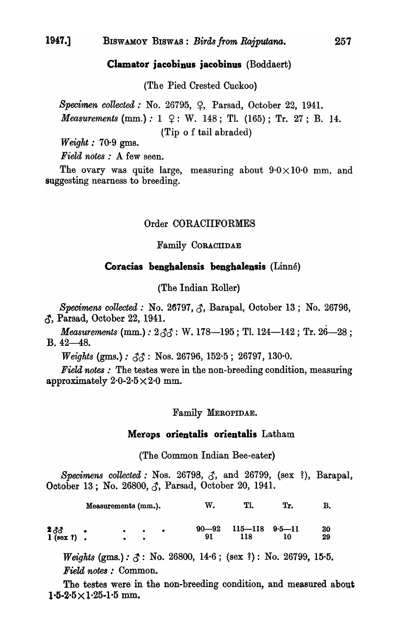# Clamator jacobinus jacobinus (Boddaert)

(The Pied Crested Cuckoo)

*Specimen collected:* No. 26795,  $\varphi$ , Parsad, October 22, 1941. *Measurements* (mm.): 1  $\varphi$ : W. 148; Tl. (165); Tr. 27; B. 14.

(Tip 0 f tail abraded)

*Weight:* 70-9 gms.

*Field notes* : A few seen.

The ovary was quite large, measuring about  $9.0 \times 10.0$  mm, and suggesting nearness to breeding.

### Order CORACIIFORMES

Family CORACIIDAE

### Coracias benghalensis benghalensis (Linne)

(The Indian Roller)

*Specimens collected:* No. 26797,  $\zeta$ , Barapal, October 13; No. 26796,  $\zeta$ , Parsad, October 22, 1941.

*Measurements* (mm.):  $2\sqrt[3]{3}$ : W. 178-195; Tl. 124-142; Tr. 26-28;  $B.42-48.$ 

*Weights (gms.): 33*: Nos. 26796, 152.5; 26797, 130.0.

*Field notes:* The testes were in the non-breeding condition, measuring approximately  $2.0 - 2.5 \times 2.0$  mm.

### Family MEROPIDAE.

#### Merops orientalis orientalis Latham

(The Common Indian Bee-eater)

Measurements (mm.). W. Tl. Tr. B.

*Specimens collected:* Nos. 26798,  $\zeta$ , and 26799, (sex ?), Barapal, October 13; No. 26800,  $\zeta$ , Parsad, October 20, 1941.

| $2\delta\delta$ .<br>1 (sex ?) : | $\bullet$ $\bullet$ |  |    | $90 - 92$ $115 - 118$ $9.5 - 11$ |    | 30 |
|----------------------------------|---------------------|--|----|----------------------------------|----|----|
|                                  | $\bullet$ $\bullet$ |  | 91 | 118                              | 10 | 29 |

 $Weights (gms.) : \mathcal{S} : No. 26800, 14.6 ; (sex ?) : No. 26799, 15.5.$ *Field notes:* Common.

The testes were in the non-breeding condition, and measured about  $1.5 - 2.5 \times 1.25 - 1.5$  mm.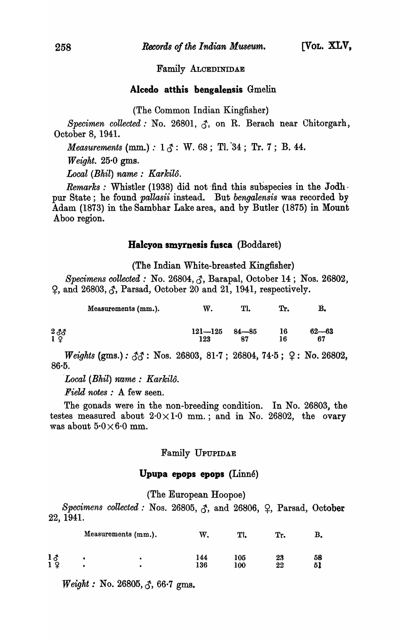Family ALCEDINIDAE

### Alcedo atthis bengalensis Gmelin

(The Common Indian Kingfisher)

*Specimen collected:* No. 26801,  $\zeta$ , on R. Berach near Chitorgarh, October 8, 1941.

*Measurements* (mm.) :  $1 ~ \text{\AA}$ : W. 68; Tl. 34; Tr. 7; B. 44.

*Weight.* 25·0 gms.

*Local (Bhil) name: Karkilo.* 

*Remarks*: Whistler (1938) did not find this subspecies in the Jodh. pur State; he found *pallasii* instead. But *bengalensis* was recorded by Adam (1873) in the Sambhar Lake area, and by Butler (1875) in Mount Aboo region.

#### Halcyon smyrnesis fusca (Boddaret)

(The Indian White-breasted Kingfisher)

*Specimens collected* : No. 26804,  $\zeta$ , Barapal, October 14; Nos. 26802,  $\varphi$ , and 26803,  $\zeta$ , Parsad, October 20 and 21, 1941, respectively.

| Measurements (mm.). | W. |  |  |
|---------------------|----|--|--|
|                     |    |  |  |

| $2\delta\delta$<br>19 | $121 - 125$ 84 - 85 16<br>123 | 87 | - 16 | $62 - 63$<br>- 67 |
|-----------------------|-------------------------------|----|------|-------------------|
|                       |                               |    |      |                   |

 $Weights$  (gms.):  $33$ : Nos. 26803, 81 $\cdot$ 7; 26804, 74 $\cdot$ 5;  $\circ$ : No. 26802, 86·5.

*"Local (Bhil) name: Karkilo.* 

*Field notes* : A few seen.

The gonads were in the non-breeding condition. In No. 26803, the testes measured about  $2.0 \times 1.0$  mm.; and in No. 26802, the ovary was about  $5.0 \times 6.0$  mm.

### Family UPUPIDAE

#### Upupa epops epops (Linné)

(The European Hoopoe)

Specimens collected : Nos. 26805,  $\zeta$ , and 26806,  $\zeta$ , Parsad, October 22, 1941.

|           | Measurements (mm.). | W.  | Tl. | Τт. |    |
|-----------|---------------------|-----|-----|-----|----|
| $1\delta$ |                     | 144 | 105 | 23  | 58 |
| 1 S       |                     | 136 | 100 | 22  | 51 |

*Weight:* No. 26805,  $\zeta$ , 66.7 gms.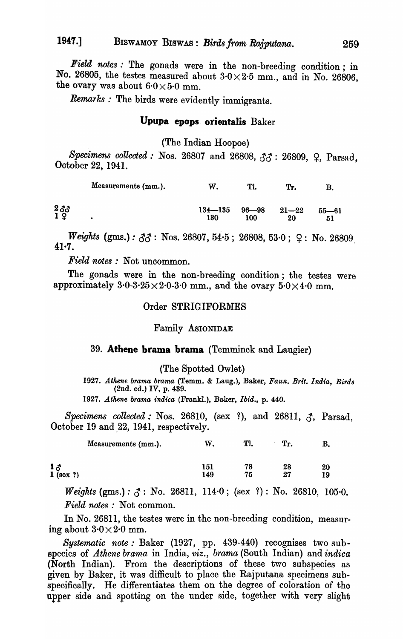*Field notes:* The gonads were in the non-breeding condition; in No. 26805, the testes measured about  $3.0 \times 2.5$  mm., and in No. 26806, the ovary was about  $6.0 \times 5.0$  mm.

*Remarks* : The birds were evidently immigrants.

# **Upupa epops. orientalis** Baker

. (The Indian Hoopoe)

Specimens collected: Nos. 26807 and 26808,  $33$ : 26809,  $9$ , Parsad, October 22, 1941.

|                | Measurements (mm.). | W.                 | Tl.              | Tr.             |           |
|----------------|---------------------|--------------------|------------------|-----------------|-----------|
| $2\frac{3}{3}$ |                     | $134 - 135$<br>130 | $96 - 98$<br>100 | $21 - 22$<br>20 | $55 - 61$ |

*Weights* (gms.): *ff*: Nos. 26807, 54·5; 26808, 53·0;  $\Omega$ : No. 26809  $41.7.$ 

*Field notes* : Not uncommon.

The gonads were in the non-breeding condition; the testes were approximately  $3.0-3.25 \times 2.0-3.0$  mm., and the ovary  $5.0 \times 4.0$  mm.

### Order STRIGIFORMES

### Family ASIONIDAE

### 39. **Athene brama brama** (Temminck and Laugier)

(The Spotted Owlet)

1927. Athene brama brama (Temm. & Laug.), Baker, *Faun. Brit. India, Birds* (2nd. ed.) IV, p. 439.

1927. Athene brama indica (Frankl.), Baker, *Ibid.*, p. 440.

*Specimens collected:* Nos. 26810, (sex ?), and 26811,  $\delta$ , Parsad, October 19 and 22, 1941, respectively.

| Measurements (mm.).                            | W.  | TI. | Tr. |    |
|------------------------------------------------|-----|-----|-----|----|
| $\begin{array}{c} 13 \\ 1 \end{array}$ (sex ?) | 151 | 78  | 28  | 20 |
|                                                | 149 | 75  | 27  | 19 |

 $Weights (gms.) : \mathcal{F} : No. 26811, 1140; (sex ?) : No. 26810, 1050.$ *Field notes* : Not common.

In No. 26811, the testes were in the non-breeding condition, measuring about  $3.0 \times 2.0$  mm.

*Systematic note:* Baker (1927, pp. 439-440) recognises two subspecies of *Athene brama* in India, *viz., brama* (South Indian) and *indica*  (North Indian). From the descriptions of these two subspecies as given by Baker, it was difficult to place the Rajputana specimens subspecifically. He differentiates them on the degree of coloration of the upper side and spotting on the under side, together with very slight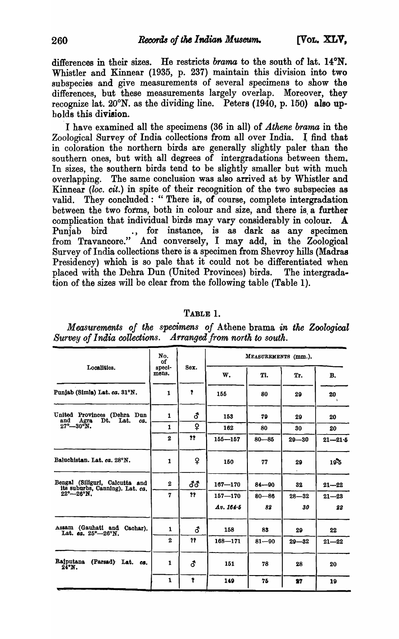differences in their sizes. He restricts *brama* to the south of lat. 14°N. Whistler and Kinnear (1935, p. 237) maintain this division into two subspecies and give measurements of several specimens to show the differences, but these measurements largely overlap. Moreover, they recognize lat.  $20^{\circ}$ N. as the dividing line. Peters (1940, p. 150) also upbolds this division.

I have examined all the specimens (36 in all) of *Atkene brama* in the Zoological Survey of India collections from all over India. I find that in coloration the northern birds are generally slightly paler than the southern ones, but with all degrees of intergradations between them. In sizes, the southern birds tend to be slightly smaller but with much overlapping. The same conclusion was also arrived at by Whistler and Kinnear *(loc. cit.)* in spite of their recognition of the two subspecies as valid. They concluded: "There is, of course, complete intergradation between the two forms, both in colour and size, and there is, a further complication that individual birds may vary considerably in colour. A Punjab bird ., for instance, is as dark as any specimen from Travancore." And conversely, I may add, in the Zoological Survey of India collections there is a specimen from Shevroy hills (Madras Presidency) whioh is so pale that it could not be differentiated when placed with the Debra Dun (United Provinces) birds. The intergradation of the sizes will be clear from the following table (Table 1).

|                                                                      | No.<br><b>of</b> | Sex.         | MEASUREMENTS (mm.).                                                               |           |           |             |
|----------------------------------------------------------------------|------------------|--------------|-----------------------------------------------------------------------------------|-----------|-----------|-------------|
| Localities.                                                          | speci-<br>mens.  |              | W.                                                                                | Tl.       | Tr.       | <b>B.</b>   |
| Punjab (Simla) Lat. ca. 31°N.                                        | $\mathbf{1}$     | $\mathbf{P}$ | 155                                                                               | 80        | 29        | 20          |
| United Provinces (Dehra Dun<br>Dt. Lat.<br>and Agra<br>ca.           | $\mathbf{1}$     | ්            | 153                                                                               | 79        | 29        | 20          |
| $27^{\circ} - 30^{\circ}$ N.                                         | $\mathbf{1}$     | ¥            | 162                                                                               | 80        | 30        | 20          |
|                                                                      | $\mathbf{2}$     | ??           | $155 - 157$                                                                       | $80 - 85$ | $29 - 30$ | $21 - 21.5$ |
| Baluchistan. Lat. ca. 28°N.                                          | $\mathbf{1}$     | ¥            | 150                                                                               | 77        | 29        | 10.5        |
| Bengal (Siliguri, Calcutta and                                       | $\mathbf 2$      | <b>đđ</b>    | $167 - 170$                                                                       | $84 - 90$ | 32        | $21 - 22$   |
| its suburbs, Canning). Lat. ca.<br>22°-26°N.                         | 7                | ??           | $157 - 170$<br>$80 - 86$<br>$28 - 32$<br>Av. 164.5<br>82<br>30<br>158<br>83<br>29 | $21 - 23$ |           |             |
|                                                                      |                  |              |                                                                                   |           |           | 22          |
| Assam (Gauhati and Cachar).<br>Lat. $ca. 25^{\circ} - 26^{\circ}$ N. | $\mathbf{1}$     | đ            |                                                                                   |           |           | 22          |
|                                                                      | $\mathbf{2}$     | ??           | $168 - 171$                                                                       | $81 - 90$ | $29 - 32$ | $21 - 22$   |
| Rajputana (Parsad) Lat. ca.<br>$24^{\circ}$ N.                       | $\mathbf{1}$     | ්            | 151                                                                               | 78        | 28        | 20          |
|                                                                      | $\mathbf{1}$     | î            | 149                                                                               | 75        | 97        | 19          |

TABLE 1.

*Measurements of tke specimens of* Athene brama *in the Zoological Survey of India collections. Arranged from nortk to south.*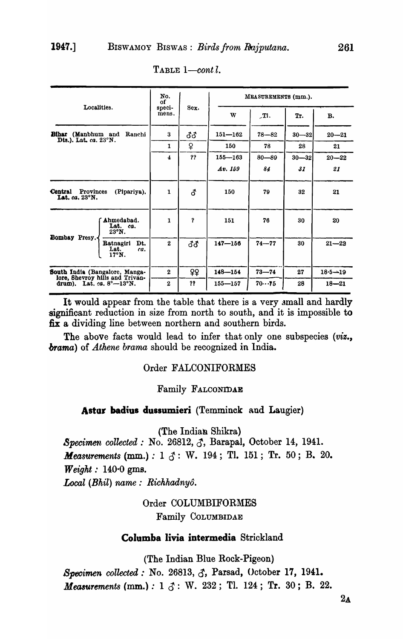|                                                                            | No.<br>of       |                  | MEASUREMENTS (mm.). |              |           |             |
|----------------------------------------------------------------------------|-----------------|------------------|---------------------|--------------|-----------|-------------|
| Localities.                                                                | speci-<br>mens. | Sex.             | W                   | $\sqrt{1}$ . | Tr.       | <b>B.</b>   |
| Bihar (Manbhum and Ranchi                                                  | $\bf{3}$        | ර්ර              | $151 - 162$         | $78 - 82$    | $30 - 32$ | $20 - 21$   |
| Dts.). Lat. ca. 23°N.                                                      | 1               | ç                | 150                 | 78           | 28        | 21          |
|                                                                            | $\overline{4}$  | 22               | $155 - 163$         | $80 - 89$    | $30 - 32$ | $20 - 22$   |
|                                                                            |                 |                  | Av. 159             | 84           | 31        | 21          |
| Central<br>Provinces<br>(Pipariya),<br>Lat. $ca. 23^\circ N.$              | 1               | đ.               | 150                 | 79           | 32        | 21          |
| Ahmedabad.<br>Lat. ca.<br>$23^{\circ}$ N.                                  | 1               | $\boldsymbol{p}$ | 151                 | 76           | 30        | 20          |
| Bombay Presy.<br>Dt.<br><b>Batnagiri</b><br>Lat.<br>ca.<br>17°N.           | $\bf{2}$        | ර්ර              | $147 - 156$         | $74 - 77$    | 30        | $21 - 22$   |
| South India (Bangalore, Manga-                                             | $\mathbf{2}$    | ₽₽               | $148 - 154$         | $73 - 74$    | 27        | $18.5 - 19$ |
| lore, Shevroy hills and Trivan-<br>drum). Lat. ca. $8^\circ - 13^\circ$ N. | $\mathbf{2}$    | ??               | $155 - 157$         | 7075         | 28        | $18 - 21$   |

TABLE *l-cont.l.* 

It would appear from the table that there is a very small and hardly significant reduction in size from north to south, and it is impossible to fix a dividing line between northern and southern birds.

The above facts would lead to infer that only one subspecies (viz., **brama**) of *Athene brama* should be recognized in India.

# Order FALCONIFORMES

### Family FALCONIDAE

# Astur badius dussumieri (Temminck and Laugier)

(The Indian Shikra)

*Specimen collected:* No. 26812,  $\zeta$ , Barapal, October 14, 1941. *Measurements*  $(mm.) : 1 \leq i$ : W. 194; Tl. 151; Tr. 50; B. 20. *Weight:* 140·0 gms. *Local (Bhil) name: Richhadnyo.* 

> Order COLUMBIFORMES Family COLUMBIDAE

# Columba livia intermedia Strickland

(The Indian Blue Rock-Pigeon) Specimen collected: No. 26813, *3*, Parsad, October 17, 1941. *Measurements (mm.) : 1*  $\delta$ *: W. 232; Tl. 124; Tr. 30; B. 22.*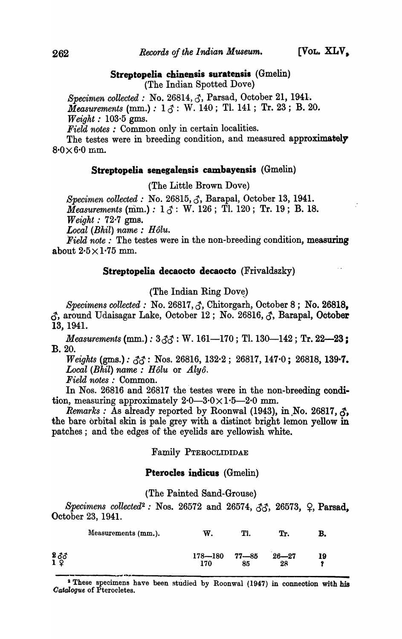Streptopelia chinensis suratensis (Gmelin) (The Indian Spotted Dove)

*Specimen collected:* No. 26814,  $\zeta$ , Parsad, October 21, 1941. *Measurements* (mm.): 1 &': W. 140; Tl. 141; Tr. 23; B.20. *Weight:* 103·5 gms.

*Field notes* : Common only in certain localities.

The testes were in breeding condition, and measured approximately  $8.0\times6.0$  mm.

# Streptopelia senegalensis cambayensis (Gmelin)

(The Little Brown Dove)

*Specimen collected* : No. 26815,  $\zeta$ , Barapal, October 13, 1941. *Measurements* (mm.):  $1 \le \cdot \cdot$  W. 126; Tl. 120; Tr. 19; B. 18. *Weight* : 72·7 gms.

*Local (Bhil) name: H6lu.* 

*Field note*: The testes were in the non-breeding condition, measuring about  $2.5 \times 1.75$  mm.

### Streptopelia decaocto decaocto (Frivaldszky)

#### (The Indian Ring Dove)

Specimens collected: No. 26817, 3, Chitorgarh, October 8; No. 26818,  $\zeta$ , around Udaisagar Lake, October 12; No. 26816,  $\zeta$ , Barapal, October 13, 1941.

*Measurements* (mm.):  $3\zeta\zeta$ : W. 161--170; Tl. 130--142; Tr. 22--23; B.20.

*Weights* (gms.):  $\delta \delta$ : Nos. 26816, 132·2; 26817, 147·0; 26818, 139·7. *Local (Bhil) name* : *H6lu* or *Aly6.* 

*Field notes* : Common.

In Nos. 26816 and 26817 the testes were in the non-breeding condition, measuring approximately  $2.0 - 3.0 \times 1.5 - 2.0$  mm.

*Remarks:* As already reported by Roonwal  $(1943)$ , in No. 26817,  $\zeta$ , the bare orbital skin is pale grey with a distinct bright lemon yellow in patches; and the edges of the eyelids are yellowish white.

Family PTEROCLIDIDAE

### Pterocles indicus (Gmelin)

#### (The Painted Sand-Grouse)

 $Specimens$   $collected<sup>2</sup>$ : Nos. 26572 and 26574,  $\zeta\zeta$ , 26573,  $\zeta$ , Parsad, October 23, 1941.

|                             | Measurements (mm.). | W.                 | Tl.             | Tr.             | В. |
|-----------------------------|---------------------|--------------------|-----------------|-----------------|----|
| $\frac{2}{1}$ $\frac{3}{2}$ |                     | $178 - 180$<br>170 | $77 - 85$<br>85 | $26 - 27$<br>28 | 19 |

<sup>&</sup>lt;sup>2</sup> These specimens have been studied by Roonwal (1947) in connection with his *Oatalogue* of Pterocletes.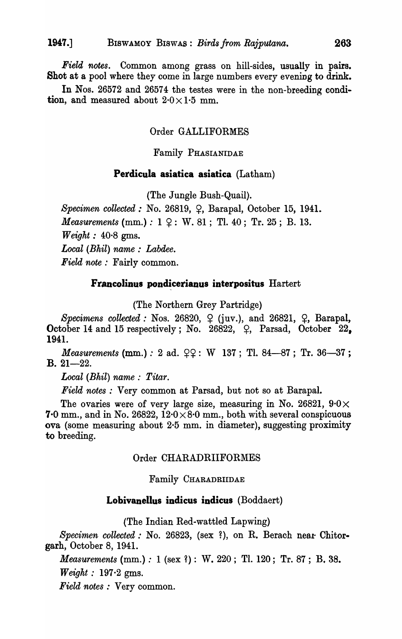*Field notes.* Common among grass on hill-sides, usually in pairs. Shot at a pool where they come in large numbers every evening to drink.

In Nos. 26572 and 26574 the testes were in the non-breeding condition, and measured about  $2.0 \times 1.5$  mm.

### Order GALLIFORMES

# Family PHASIANIDAE

# Perdicula asiatica asiatica (Latham)

(The Jungle Bush-Quail).

Specimen collected: No. 26819, Q, Barapal, October 15, 1941. *Measurements* (mm.) : 1  $9$ : W. 81; Tl. 40; Tr. 25; B. 13. *Weight* : 40·8 gms. *Local (Bhil) name* : *Labdee. Field note* : Fairly common.

# Francolinus pondicerianus interpositus Hartert

(The Northern Grey Partridge)

*Specimens collected:* Nos. 26820,  $\varphi$  (juv.), and 26821,  $\varphi$ , Barapal, October 14 and 15 respectively; No. 26822,  $\varphi$ , Parsad, October 22, 1941.

*Measurements* (mm.) : 2 ad.  $\varphi$ ?: W 137; Tl. 84-87; Tr. 36-37;  $B. 21 - 22.$ 

*Local (Bhil) name: Titar.* 

*Field notes:* Very common at Parsad, but not so at Barapal.

The ovaries were of very large size, measuring in No. 26821,  $9.0 \times$ 7.0 mm., and in No. 26822,  $12.0 \times 8.0$  mm., both with several conspicuous ova (some measuring about 2·5 mm. in diameter), suggesting proximity to breeding.

# Order CHARADRIIFORMES

#### Family CHARADRIIDAE

# Lobivanellus indicus indicus (Boddaert)

(The Indian Red-wattled Lapwing)

*Specimen collected:* No. 26823, (sex ?), on R. Berach near Chitorgarh, October 8, 1941.

*Measurements* (mm.) : 1 (sex ?) : W. 220; Tl. 120; Tr. 87; B. 38.

*Weight:* 197·2 gms.

*Field notes* : Very common.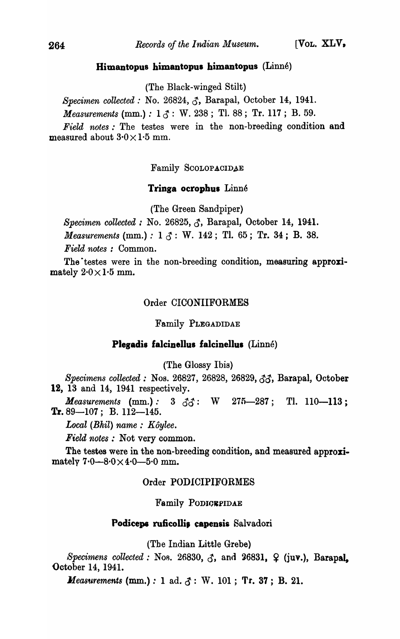# Himantopus himantopus himantopus (Linné)

(The Black-winged Stilt)

*Specimen collected:* No. 26824,  $\zeta$ , Barapal, October 14, 1941.

*Measurements* (mm.) :  $1 \zeta$ : W. 238; Tl. 88; Tr. 117; B. 59.

Field notes: The testes were in the non-breeding condition and measured about  $3.0 \times 1.5$  mm.

Family SCOLOPACIDAE

### Tringa ocrophus Linné

(The Green Sandpiper)

*Specimen collected:* No. 26825,  $\zeta$ , Barapal, October 14, 1941.

*Measurements* (mm.):  $1 \zeta$ : W. 142; Tl. 65; Tr. 34; B. 38.

*Field notes* : Common.

The testes were in the non-breeding condition, measuring approximately  $2.0 \times 1.5$  mm.

#### Order CICONIIFORMES

Family PLEGADIDAE

### Plegadis falcinellus falcinellus  $(Linné)$

(The Glossy Ibis)

*Specimens collected:* Nos. 26827, 26828, 26829, 33, Barapal, October 12, 13 and 14, 1941 respectively.

*Measurements* (mm.): 3  $\delta \delta$ : W 275-287; Tl. 110-113;  $Tr. 89 - 107$ ; B. 112-145.

*Local (Bhil) name: Koylee.* 

*Field notes* : Not very common.

The testes were in the non-breeding condition, and measured approximately  $7.0 - 8.0 \times 4.0 - 5.0$  mm.

### Order PODICIPIFORMES

### Family PODICEPIDAE

#### Podiceps ruficollis capensis Salvadori

(The Indian Little Grebe)

*Specimens collected* : Nos. 26830,  $\zeta$ , and 26831,  $\zeta$  (juv.), Barapal, October 14, 1941.

*Measurements*  $(mm.) : 1$  ad.  $\delta: W. 101$ ; Tr. 37; B. 21.